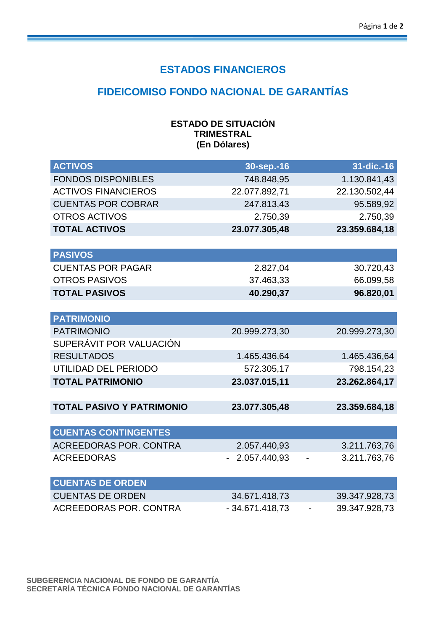### **ESTADOS FINANCIEROS**

# **FIDEICOMISO FONDO NACIONAL DE GARANTÍAS**

| <b>ESTADO DE SITUACIÓN</b> |
|----------------------------|
| <b>TRIMESTRAL</b>          |
| (En Dólares)               |

| <b>ACTIVOS</b>                   | 30-sep.-16       | 31-dic.-16    |
|----------------------------------|------------------|---------------|
| <b>FONDOS DISPONIBLES</b>        | 748.848,95       | 1.130.841,43  |
| <b>ACTIVOS FINANCIEROS</b>       | 22.077.892,71    | 22.130.502,44 |
| <b>CUENTAS POR COBRAR</b>        | 247.813,43       | 95.589,92     |
| <b>OTROS ACTIVOS</b>             | 2.750,39         | 2.750,39      |
| <b>TOTAL ACTIVOS</b>             | 23.077.305,48    | 23.359.684,18 |
|                                  |                  |               |
| <b>PASIVOS</b>                   |                  |               |
| <b>CUENTAS POR PAGAR</b>         | 2.827,04         | 30.720,43     |
| <b>OTROS PASIVOS</b>             | 37.463,33        | 66.099,58     |
| <b>TOTAL PASIVOS</b>             | 40.290,37        | 96.820,01     |
|                                  |                  |               |
| <b>PATRIMONIO</b>                |                  |               |
| <b>PATRIMONIO</b>                | 20.999.273,30    | 20.999.273,30 |
| SUPERÁVIT POR VALUACIÓN          |                  |               |
| <b>RESULTADOS</b>                | 1.465.436,64     | 1.465.436,64  |
| UTILIDAD DEL PERIODO             | 572.305,17       | 798.154,23    |
| <b>TOTAL PATRIMONIO</b>          | 23.037.015,11    | 23.262.864,17 |
|                                  |                  |               |
| <b>TOTAL PASIVO Y PATRIMONIO</b> | 23.077.305,48    | 23.359.684,18 |
|                                  |                  |               |
| <b>CUENTAS CONTINGENTES</b>      |                  |               |
| <b>ACREEDORAS POR. CONTRA</b>    | 2.057.440,93     | 3.211.763,76  |
| <b>ACREEDORAS</b>                | 2.057.440,93     | 3.211.763,76  |
|                                  |                  |               |
| <b>CUENTAS DE ORDEN</b>          |                  |               |
| <b>CUENTAS DE ORDEN</b>          | 34.671.418,73    | 39.347.928,73 |
| <b>ACREEDORAS POR. CONTRA</b>    | $-34.671.418,73$ | 39.347.928,73 |